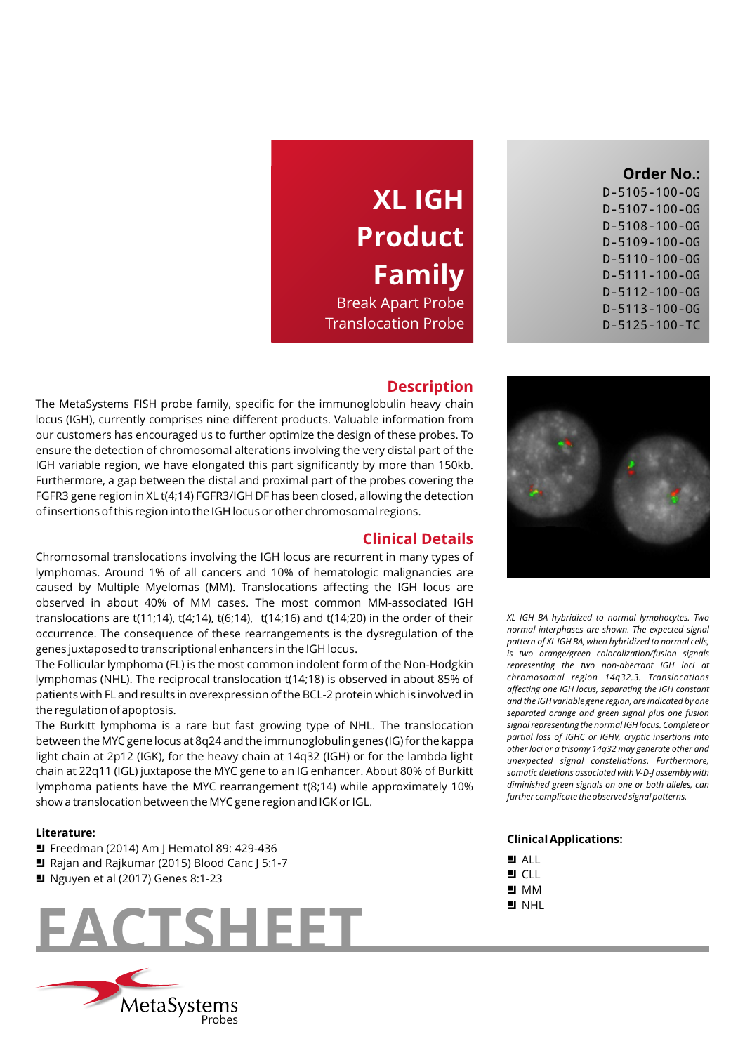## **Order No.:**

| D-5105-100-0G         |
|-----------------------|
| $D - 5107 - 100 - OG$ |
| $D-5108-100-0G$       |
| $D-5109-100-0G$       |
| $D - 5110 - 100 - OG$ |
| $D - 5111 - 100 - OG$ |
| $D - 5112 - 100 - OG$ |
| $D - 5113 - 100 - OG$ |
| $D-5125-100-TC$       |

# **XL IGH Product Family**

Break Apart Probe Translocation Probe

### **Description**

The MetaSystems FISH probe family, specific for the immunoglobulin heavy chain locus (IGH), currently comprises nine different products. Valuable information from our customers has encouraged us to further optimize the design of these probes. To ensure the detection of chromosomal alterations involving the very distal part of the IGH variable region, we have elongated this part significantly by more than 150kb. Furthermore, a gap between the distal and proximal part of the probes covering the FGFR3 gene region in XL t(4;14) FGFR3/IGH DF has been closed, allowing the detection of insertions of this region into the IGH locus or other chromosomal regions.

## **Clinical Details**

Chromosomal translocations involving the IGH locus are recurrent in many types of lymphomas. Around 1% of all cancers and 10% of hematologic malignancies are caused by Multiple Myelomas (MM). Translocations affecting the IGH locus are observed in about 40% of MM cases. The most common MM-associated IGH translocations are t(11;14), t(4;14), t(6;14), t(14;16) and t(14;20) in the order of their occurrence. The consequence of these rearrangements is the dysregulation of the genes juxtaposed to transcriptional enhancers in the IGH locus.

The Follicular lymphoma (FL) is the most common indolent form of the Non-Hodgkin lymphomas (NHL). The reciprocal translocation t(14;18) is observed in about 85% of patients with FL and results in overexpression of the BCL-2 protein which is involved in the regulation of apoptosis.

The Burkitt lymphoma is a rare but fast growing type of NHL. The translocation between the MYC gene locus at 8q24 and the immunoglobulin genes (IG) for the kappa light chain at 2p12 (IGK), for the heavy chain at 14q32 (IGH) or for the lambda light chain at 22q11 (IGL) juxtapose the MYC gene to an IG enhancer. About 80% of Burkitt lymphoma patients have the MYC rearrangement t(8;14) while approximately 10% show a translocation between the MYC gene region and IGK or IGL.

#### **Literature:**

- Freedman (2014) Am J Hematol 89: 429-436
- Rajan and Rajkumar (2015) Blood Canc J 5:1-7
- $\blacksquare$  Nguyen et al (2017) Genes 8:1-23





*XL IGH BA hybridized to normal lymphocytes. Two normal interphases are shown. The expected signal pattern of XL IGH BA, when hybridized to normal cells, is two orange/green colocalization/fusion signals representing the two non-aberrant IGH loci at chromosomal region 14q32.3. Translocations affecting one IGH locus, separating the IGH constant and the IGH variable gene region, are indicated by one separated orange and green signal plus one fusion signal representing the normal IGH locus. Complete or partial loss of IGHC or IGHV, cryptic insertions into other loci or a trisomy 14q32 may generate other and unexpected signal constellations. Furthermore, somatic deletions associated with V-D-J assembly with diminished green signals on one or both alleles, can further complicate the observed signal patterns.*

#### **Clinical Applications:**

- $H$  ALL
- $\blacksquare$  CLL
- $M$  MM  $\blacksquare$  NHL